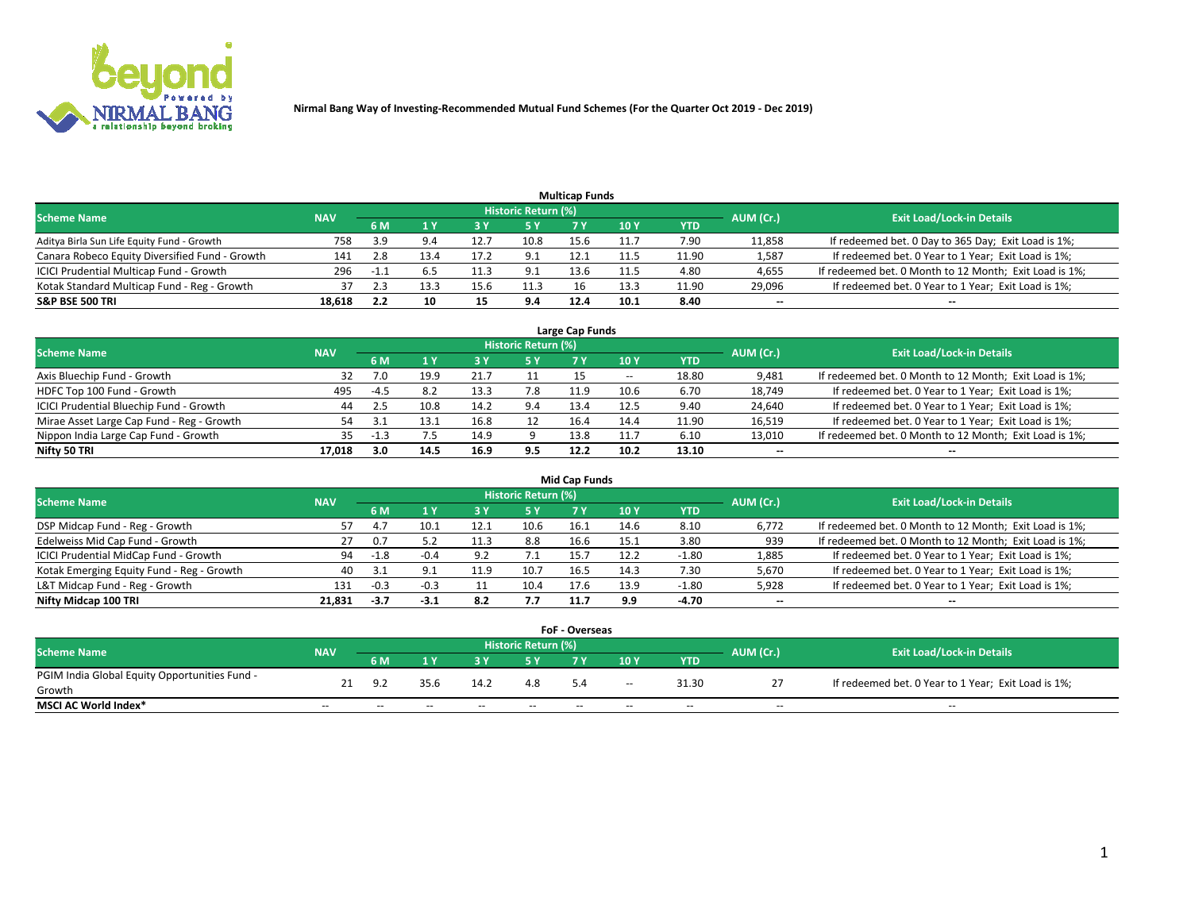

| <b>Multicap Funds</b>                          |            |        |      |      |                     |      |      |       |                          |                                                        |  |  |  |
|------------------------------------------------|------------|--------|------|------|---------------------|------|------|-------|--------------------------|--------------------------------------------------------|--|--|--|
| <b>Scheme Name</b>                             | <b>NAV</b> |        |      |      | Historic Return (%) |      |      |       | AUM (Cr.)                | <b>Exit Load/Lock-in Details</b>                       |  |  |  |
|                                                |            | 6 M    |      |      | <b>5 Y</b>          |      | 10Y  | YTD   |                          |                                                        |  |  |  |
| Aditya Birla Sun Life Equity Fund - Growth     | 758        | ર વ    | 9.4  | 12.7 | 10.8                | 15.6 | 11.7 | 7.90  | 11,858                   | If redeemed bet. 0 Day to 365 Day; Exit Load is 1%;    |  |  |  |
| Canara Robeco Equity Diversified Fund - Growth | 141        | 2.8    | 13.4 | 17.2 | 9.1                 | 12.1 | 11.5 | 11.90 | 1,587                    | If redeemed bet. 0 Year to 1 Year; Exit Load is 1%;    |  |  |  |
| ICICI Prudential Multicap Fund - Growth        | 296        | $-1.1$ |      |      | 9.1                 | 13.6 |      | 4.80  | 4,655                    | If redeemed bet. 0 Month to 12 Month; Exit Load is 1%; |  |  |  |
| Kotak Standard Multicap Fund - Reg - Growth    |            |        | 13.3 | 15.6 | 11.3                |      | 13.3 | 11.90 | 29,096                   | If redeemed bet. 0 Year to 1 Year; Exit Load is 1%;    |  |  |  |
| <b>S&amp;P BSE 500 TRI</b>                     | 18.618     |        | 10   |      | 9.4                 | 12.4 | 10.1 | 8.40  | $\overline{\phantom{a}}$ | $- -$                                                  |  |  |  |

| Large Cap Funds                           |            |        |      |      |                            |      |       |       |           |                                                        |  |  |  |
|-------------------------------------------|------------|--------|------|------|----------------------------|------|-------|-------|-----------|--------------------------------------------------------|--|--|--|
| <b>Scheme Name</b>                        | <b>NAV</b> |        |      |      | <b>Historic Return (%)</b> |      |       |       | AUM (Cr.) | <b>Exit Load/Lock-in Details</b>                       |  |  |  |
|                                           |            | 6 M    | 1 Y  | 3 Y  | 5 Y                        | 7 V  | 10Y   | YTD   |           |                                                        |  |  |  |
| Axis Bluechip Fund - Growth               | 32         | 7.0    | 19.9 |      |                            |      | $- -$ | 18.80 | 9,481     | If redeemed bet. 0 Month to 12 Month; Exit Load is 1%; |  |  |  |
| HDFC Top 100 Fund - Growth                | 495        | -4.5   |      | 13.3 | 7.8                        | 11.9 | 10.6  | 6.70  | 18,749    | If redeemed bet. 0 Year to 1 Year; Exit Load is 1%;    |  |  |  |
| ICICI Prudential Bluechip Fund - Growth   | 44         | -2.5   | 10.8 | 14.2 | 9.4                        | 13.4 | 12.5  | 9.40  | 24,640    | If redeemed bet. 0 Year to 1 Year; Exit Load is 1%;    |  |  |  |
| Mirae Asset Large Cap Fund - Reg - Growth | 54         |        | 13.1 |      |                            | 16.4 | 14.4  | 11.90 | 16,519    | If redeemed bet. 0 Year to 1 Year; Exit Load is 1%;    |  |  |  |
| Nippon India Large Cap Fund - Growth      | 35         | $-1.3$ |      | 14.9 |                            | 13.8 | 11.7  | 6.10  | 13,010    | If redeemed bet. 0 Month to 12 Month; Exit Load is 1%; |  |  |  |
| Nifty 50 TRI                              | 17.018     | 3.0    | 14.5 | 16.9 | 9.5                        | 12.2 | 10.2  | 13.10 | $- -$     | $- -$                                                  |  |  |  |

| Mid Cap Funds                             |            |        |        |      |                     |      |      |         |           |                                                        |  |  |  |
|-------------------------------------------|------------|--------|--------|------|---------------------|------|------|---------|-----------|--------------------------------------------------------|--|--|--|
| <b>Scheme Name</b>                        | <b>NAV</b> |        |        |      | Historic Return (%) |      |      |         | AUM (Cr.) | <b>Exit Load/Lock-in Details</b>                       |  |  |  |
|                                           |            | 6 M    |        |      | <b>5Y</b>           | 7 Y  | 10Y  | YTD     |           |                                                        |  |  |  |
| DSP Midcap Fund - Reg - Growth            | 57         | 4.7    | 10.1   |      | 10.6                | 16.1 | 14.6 | 8.10    | 6,772     | If redeemed bet. 0 Month to 12 Month; Exit Load is 1%; |  |  |  |
| Edelweiss Mid Cap Fund - Growth           | 27         | 0.7    |        | 11.3 | 8.8                 | 16.6 | 15.1 | 3.80    | 939       | If redeemed bet. 0 Month to 12 Month; Exit Load is 1%; |  |  |  |
| ICICI Prudential MidCap Fund - Growth     | 94         | $-1.8$ | $-0.4$ | -97  | 7. L                | 15.  | 12.2 | -1.80   | 1,885     | If redeemed bet. 0 Year to 1 Year; Exit Load is 1%;    |  |  |  |
| Kotak Emerging Equity Fund - Reg - Growth | 40         |        |        | 11.9 | 10.7                | 16.5 | 14.3 | 7.30    | 5,670     | If redeemed bet. 0 Year to 1 Year; Exit Load is 1%;    |  |  |  |
| L&T Midcap Fund - Reg - Growth            | 131        | $-0.3$ | $-0.3$ |      | 10.4                | 17.6 | 13.9 | $-1.80$ | 5,928     | If redeemed bet. 0 Year to 1 Year; Exit Load is 1%;    |  |  |  |
| Nifty Midcap 100 TRI                      | 21.831     | $-3.7$ | $-3.1$ | 8.2  | 7.7                 | 11.7 | 9.9  | $-4.70$ | $\sim$    | $- -$                                                  |  |  |  |

|                                               |            |       |       |       |                     | <b>FoF - Overseas</b> |       |            |           |                                                     |
|-----------------------------------------------|------------|-------|-------|-------|---------------------|-----------------------|-------|------------|-----------|-----------------------------------------------------|
| Scheme Name                                   | <b>NAV</b> |       |       |       | Historic Return (%) |                       |       |            | AUM (Cr.) | <b>Exit Load/Lock-in Details</b>                    |
|                                               |            | 6 M   |       |       |                     |                       | 10Y   | <b>YTD</b> |           |                                                     |
| PGIM India Global Equity Opportunities Fund - |            | د ۵   | 35.6  | 14.2  | 4.8                 |                       |       | 31.30      |           | If redeemed bet. 0 Year to 1 Year; Exit Load is 1%; |
| Growth                                        |            |       |       |       |                     |                       | $- -$ |            |           |                                                     |
| <b>MSCI AC World Index*</b>                   | $- -$      | $- -$ | $- -$ | $- -$ | $- -$               | $- -$                 | $- -$ | $-$        | $\sim$    | $-$                                                 |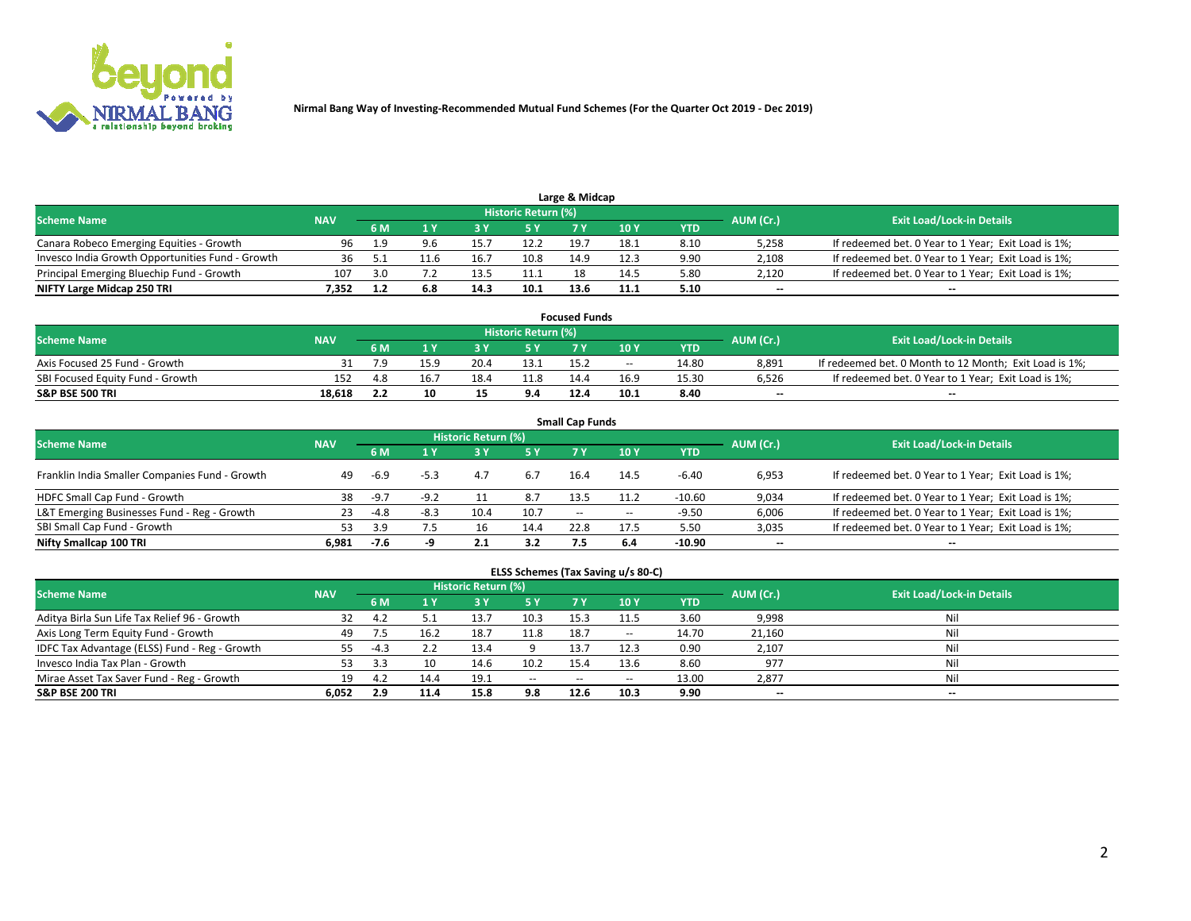

|                                                  |            |     |     |      | Historic Return (%) | Large & Midcap |      |      |           |                                                     |
|--------------------------------------------------|------------|-----|-----|------|---------------------|----------------|------|------|-----------|-----------------------------------------------------|
| <b>Scheme Name</b>                               | <b>NAV</b> | 6 M |     |      |                     |                | 10 Y | YTD  | AUM (Cr.) | <b>Exit Load/Lock-in Details</b>                    |
| Canara Robeco Emerging Equities - Growth         | 96         | 1.9 | 9.6 | 15.  | 12.2                | 19.7           | 18.1 | 8.10 | 5,258     | If redeemed bet. 0 Year to 1 Year; Exit Load is 1%; |
| Invesco India Growth Opportunities Fund - Growth |            |     |     | 16.7 | 10.8                | 14.9           | 12.3 | 9.90 | 2,108     | If redeemed bet. 0 Year to 1 Year; Exit Load is 1%; |
| Principal Emerging Bluechip Fund - Growth        | 107        | 3.0 |     | 13.5 | 11.1                |                | 14.5 | 5.80 | 2,120     | If redeemed bet. 0 Year to 1 Year; Exit Load is 1%; |
| NIFTY Large Midcap 250 TRI                       | 7.352      |     | 6.8 | 14.3 | 10.1                | 13.6           | 11.1 | 5.10 | $\sim$    | $- -$                                               |

| <b>Focused Funds</b>             |            |       |      |      |                            |      |       |            |                          |                                                        |  |  |  |
|----------------------------------|------------|-------|------|------|----------------------------|------|-------|------------|--------------------------|--------------------------------------------------------|--|--|--|
| <b>Scheme Name</b>               | <b>NAV</b> |       |      |      | <b>Historic Return (%)</b> |      |       |            |                          | <b>Exit Load/Lock-in Details</b>                       |  |  |  |
|                                  |            | 6 M   |      |      |                            |      | 10 Y  | <b>YTD</b> | AUM (Cr.)                |                                                        |  |  |  |
| Axis Focused 25 Fund - Growth    |            |       |      | 20.4 | 13.1                       | 15.2 | $- -$ | 14.80      | 8.891                    | If redeemed bet. 0 Month to 12 Month; Exit Load is 1%; |  |  |  |
| SBI Focused Equity Fund - Growth | 152        |       | 16.7 | 18.4 | 11.8                       | 14.4 | 16.9  | 15.30      | 6.526                    | If redeemed bet. 0 Year to 1 Year: Exit Load is 1%:    |  |  |  |
| <b>S&amp;P BSE 500 TRI</b>       | 18.618     | ے . د | 10   |      | 9.4                        | 12.4 | 10.1  | 8.40       | $\overline{\phantom{a}}$ | $\overline{\phantom{a}}$                               |  |  |  |

| <b>Small Cap Funds</b>                         |            |        |        |                     |           |            |                          |            |                          |                                                     |  |  |  |
|------------------------------------------------|------------|--------|--------|---------------------|-----------|------------|--------------------------|------------|--------------------------|-----------------------------------------------------|--|--|--|
| <b>Scheme Name</b>                             | <b>NAV</b> |        |        | Historic Return (%) |           |            |                          |            |                          | <b>Exit Load/Lock-in Details</b>                    |  |  |  |
|                                                |            | 6 M    |        |                     | <b>5Y</b> | <b>7 Y</b> | 10 <sub>Y</sub>          | <b>YTD</b> | AUM (Cr.)                |                                                     |  |  |  |
| Franklin India Smaller Companies Fund - Growth | 49         | $-6.9$ | $-5.3$ | 4.7                 | 6.7       | 16.4       | 14.5                     | $-6.40$    | 6,953                    | If redeemed bet. 0 Year to 1 Year; Exit Load is 1%; |  |  |  |
| HDFC Small Cap Fund - Growth                   | 38         | $-9.7$ | $-9.2$ |                     | 8.7       | 13.5       | 11.2                     | $-10.60$   | 9,034                    | If redeemed bet. 0 Year to 1 Year; Exit Load is 1%; |  |  |  |
| L&T Emerging Businesses Fund - Reg - Growth    | 23         | -4.8   | -8.3   | 10.4                | 10.7      | $\sim$     | $\overline{\phantom{a}}$ | $-9.50$    | 6,006                    | If redeemed bet. 0 Year to 1 Year; Exit Load is 1%; |  |  |  |
| SBI Small Cap Fund - Growth                    | 53         | 3.9    | 7.5    |                     | 14.4      | 22.8       | 17.5                     | 5.50       | 3,035                    | If redeemed bet. 0 Year to 1 Year; Exit Load is 1%; |  |  |  |
| Nifty Smallcap 100 TRI                         | 6.981      | -7.6   |        | 2.1                 | 3.2       | 7.5        | 6.4                      | -10.90     | $\overline{\phantom{a}}$ | $\overline{\phantom{a}}$                            |  |  |  |

## **ELSS Schemes (Tax Saving u/s 80-C)**

| <b>Scheme Name</b>                            | <b>NAV</b> |                |      | Historic Return (%) |       |      |       |       | AUM (Cr.) | <b>Exit Load/Lock-in Details</b> |
|-----------------------------------------------|------------|----------------|------|---------------------|-------|------|-------|-------|-----------|----------------------------------|
|                                               |            | 6 M            |      | 3 Y                 | 5 Y   | 7 Y  | 10Y   | YTD   |           |                                  |
| Aditya Birla Sun Life Tax Relief 96 - Growth  | 32         | 4.Z            |      | 13.7                | 10.3  | 15.3 | 11.5  | 3.60  | 9,998     | Nil                              |
| Axis Long Term Equity Fund - Growth           | 49         |                | 16.2 | 18.7                | 11.8  | 18.7 | $- -$ | 14.70 | 21,160    | Nil                              |
| IDFC Tax Advantage (ELSS) Fund - Reg - Growth | 55         | $-4.3$         |      | 13.4                |       | 13.7 | 12.3  | 0.90  | 2,107     | Nil                              |
| Invesco India Tax Plan - Growth               | 53         |                |      | 14.6                | 10.2  | 15.4 | 13.6  | 8.60  | 977       | Nil                              |
| Mirae Asset Tax Saver Fund - Reg - Growth     | 19         | $\overline{a}$ | 14.4 | 19.1                | $- -$ | --   |       | 13.00 | 2,877     | Nil                              |
| S&P BSE 200 TRI                               | 6,052      | 2.9            | 11.4 | 15.8                | 9.8   | 12.6 | 10.3  | 9.90  | $\sim$    | $- -$                            |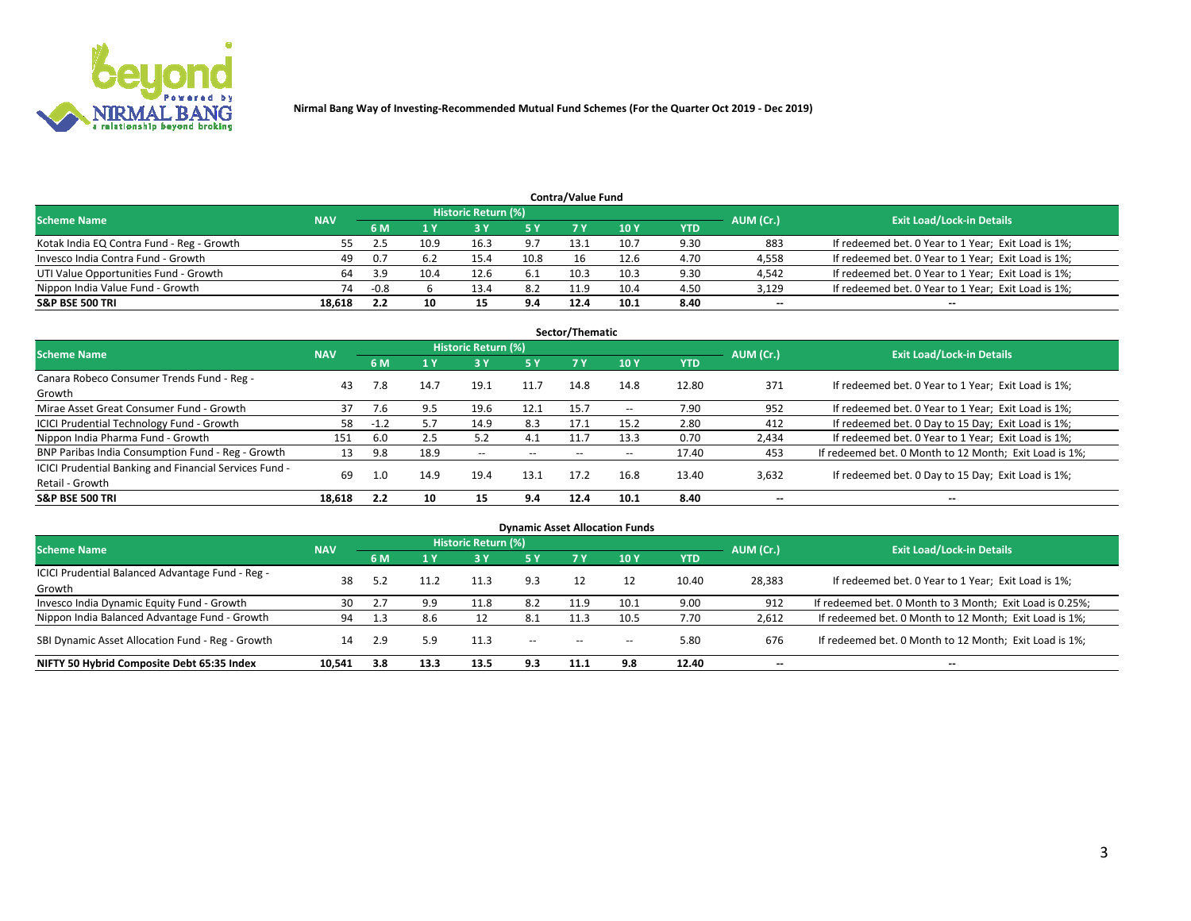

| <b>Contra/Value Fund</b>                  |            |           |                                  |      |      |      |      |      |        |                                                     |  |  |  |
|-------------------------------------------|------------|-----------|----------------------------------|------|------|------|------|------|--------|-----------------------------------------------------|--|--|--|
| <b>Scheme Name</b>                        | <b>NAV</b> | AUM (Cr.) | <b>Exit Load/Lock-in Details</b> |      |      |      |      |      |        |                                                     |  |  |  |
|                                           |            | 6 M       |                                  |      | 5 Y  | 7 V  | 10Y  | YTD  |        |                                                     |  |  |  |
| Kotak India EQ Contra Fund - Reg - Growth | 55.        |           | 10.9                             | 16.3 | 9.7  | 13.1 | 10.7 | 9.30 | 883    | If redeemed bet. 0 Year to 1 Year; Exit Load is 1%; |  |  |  |
| Invesco India Contra Fund - Growth        | 49         | 0.7       |                                  | 15.4 | 10.8 | 16   | 12.6 | 4.70 | 4,558  | If redeemed bet. 0 Year to 1 Year; Exit Load is 1%; |  |  |  |
| UTI Value Opportunities Fund - Growth     |            | 3.9       | 10.4                             | 12.6 | -6.1 | 10.3 | 10.3 | 9.30 | 4,542  | If redeemed bet. 0 Year to 1 Year; Exit Load is 1%; |  |  |  |
| Nippon India Value Fund - Growth          | 74         | $-0.8$    |                                  | 13.4 | 8.2  | 11.9 | 10.4 | 4.50 | 3,129  | If redeemed bet. 0 Year to 1 Year; Exit Load is 1%; |  |  |  |
| <b>S&amp;P BSE 500 TRI</b>                | 18,618     |           | 10                               |      | 9.4  | 12.4 | 10.1 | 8.40 | $\sim$ | $- -$                                               |  |  |  |

| Sector/Thematic                                                           |            |        |      |                     |           |       |                          |            |                          |                                                        |  |  |  |
|---------------------------------------------------------------------------|------------|--------|------|---------------------|-----------|-------|--------------------------|------------|--------------------------|--------------------------------------------------------|--|--|--|
| <b>Scheme Name</b>                                                        | <b>NAV</b> |        |      | Historic Return (%) |           |       |                          |            | AUM (Cr.)                | <b>Exit Load/Lock-in Details</b>                       |  |  |  |
|                                                                           |            | 6 M    | 1 Y  | 73 Y                | <b>5Y</b> | 7 Y   | 10Y                      | <b>YTD</b> |                          |                                                        |  |  |  |
| Canara Robeco Consumer Trends Fund - Reg -<br>Growth                      | 43         | 7.8    | 14.7 | 19.1                | 11.7      | 14.8  | 14.8                     | 12.80      | 371                      | If redeemed bet. 0 Year to 1 Year; Exit Load is 1%;    |  |  |  |
| Mirae Asset Great Consumer Fund - Growth                                  | 37         | 7.6    | 9.5  | 19.6                | 12.1      | 15.7  | $\overline{\phantom{a}}$ | 7.90       | 952                      | If redeemed bet. 0 Year to 1 Year; Exit Load is 1%;    |  |  |  |
| ICICI Prudential Technology Fund - Growth                                 | 58         | $-1.2$ | 5.7  | 14.9                | 8.3       | 17.1  | 15.2                     | 2.80       | 412                      | If redeemed bet. 0 Day to 15 Day; Exit Load is 1%;     |  |  |  |
| Nippon India Pharma Fund - Growth                                         | 151        | 6.0    | 2.5  | 5.2                 | 4.1       | 11.7  | 13.3                     | 0.70       | 2,434                    | If redeemed bet. 0 Year to 1 Year; Exit Load is 1%;    |  |  |  |
| BNP Paribas India Consumption Fund - Reg - Growth                         | 13         | 9.8    | 18.9 | $- -$               | $- -$     | $- -$ | $- -$                    | 17.40      | 453                      | If redeemed bet. 0 Month to 12 Month; Exit Load is 1%; |  |  |  |
| ICICI Prudential Banking and Financial Services Fund -<br>Retail - Growth | 69         | 1.0    | 14.9 | 19.4                | 13.1      | 17.2  | 16.8                     | 13.40      | 3,632                    | If redeemed bet. 0 Day to 15 Day; Exit Load is 1%;     |  |  |  |
| <b>S&amp;P BSE 500 TRI</b>                                                | 18.618     | 2.2    | 10   |                     | 9.4       | 12.4  | 10.1                     | 8.40       | $\overline{\phantom{a}}$ | $\overline{\phantom{a}}$                               |  |  |  |

| <b>Dynamic Asset Allocation Funds</b>                      |            |     |      |                     |               |        |                 |            |                          |                                                          |  |  |  |
|------------------------------------------------------------|------------|-----|------|---------------------|---------------|--------|-----------------|------------|--------------------------|----------------------------------------------------------|--|--|--|
| Scheme Name                                                | <b>NAV</b> |     |      | Historic Return (%) |               |        |                 |            | AUM (Cr.)                | <b>Exit Load/Lock-in Details</b>                         |  |  |  |
|                                                            |            | 6 M |      | 3Y                  | 5 Y           |        | 10 <sub>Y</sub> | <b>YTD</b> |                          |                                                          |  |  |  |
| ICICI Prudential Balanced Advantage Fund - Reg -<br>Growth | 38         | 5.2 |      |                     | 9.3           | 12     |                 | 10.40      | 28,383                   | If redeemed bet. 0 Year to 1 Year; Exit Load is 1%;      |  |  |  |
| Invesco India Dynamic Equity Fund - Growth                 | 30         | 2.7 | 9.9  | 11.8                | 8.2           | 11.9   | 10.1            | 9.00       | 912                      | If redeemed bet. 0 Month to 3 Month; Exit Load is 0.25%; |  |  |  |
| Nippon India Balanced Advantage Fund - Growth              | 94         |     | 8.6  |                     | 8.1           | 11.3   | 10.5            | 7.70       | 2,612                    | If redeemed bet. 0 Month to 12 Month; Exit Load is 1%;   |  |  |  |
| SBI Dynamic Asset Allocation Fund - Reg - Growth           | 14         | 2.9 | 5.9  | 11.3                | $\sim$ $\sim$ | $\sim$ | $\sim$          | 5.80       | 676                      | If redeemed bet. 0 Month to 12 Month; Exit Load is 1%;   |  |  |  |
| NIFTY 50 Hybrid Composite Debt 65:35 Index                 | 10,541     | 3.8 | 13.3 | 13.5                | 9.3           | 11.1   | 9.8             | 12.40      | $\overline{\phantom{a}}$ | --                                                       |  |  |  |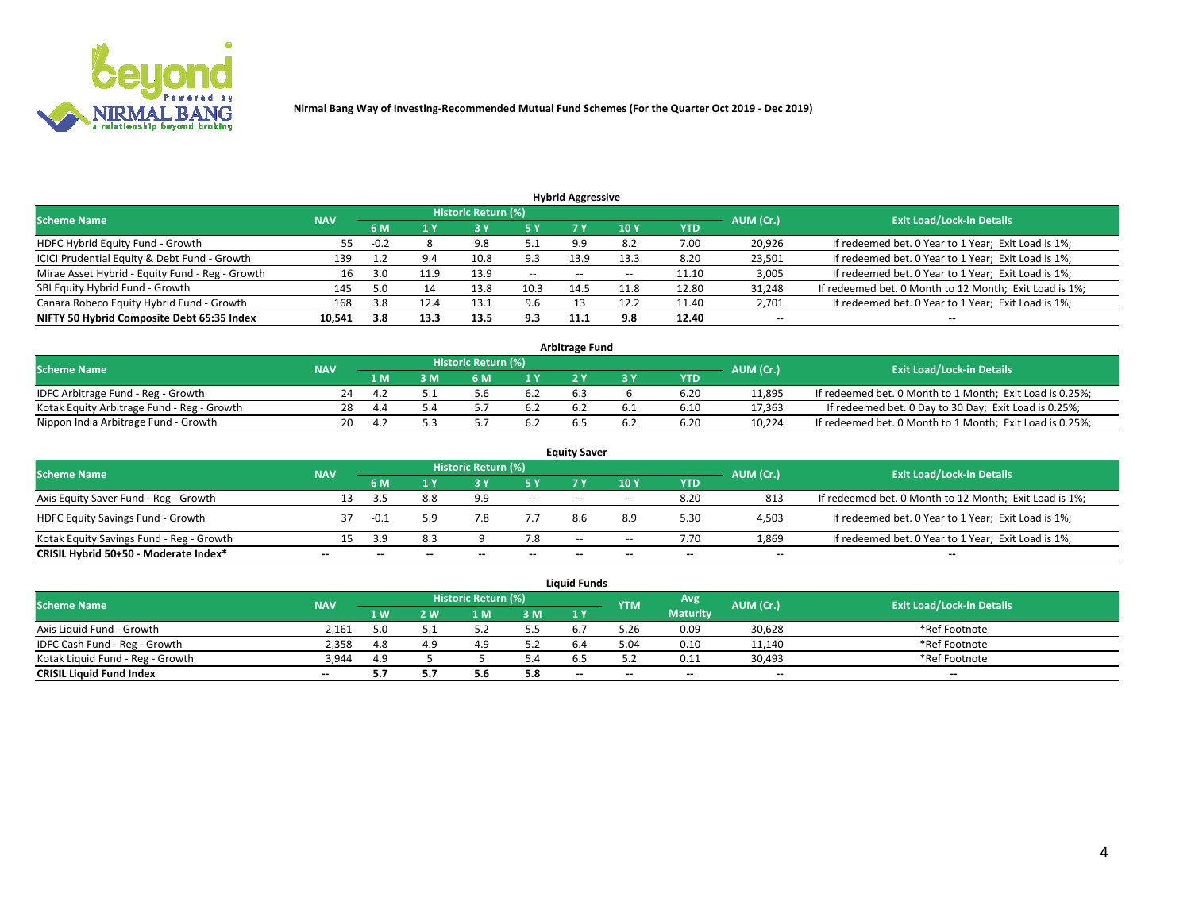

**Nirmal Bang Way of Investing-Recommended Mutual Fund Schemes (For the Quarter Oct 2019 - Dec 2019)**

|                                                 |            |        |      |                            |        | <b>Hybrid Aggressive</b> |                 |       |           |                                                        |
|-------------------------------------------------|------------|--------|------|----------------------------|--------|--------------------------|-----------------|-------|-----------|--------------------------------------------------------|
| <b>Scheme Name</b>                              | <b>NAV</b> |        |      | <b>Historic Return (%)</b> |        |                          |                 |       | AUM (Cr.) | <b>Exit Load/Lock-in Details</b>                       |
|                                                 |            | 6 M    | 1 Y  | 3 Y                        | '5 Y.  |                          | 10 <sub>1</sub> | YTD   |           |                                                        |
| HDFC Hybrid Equity Fund - Growth                | 55         | $-0.2$ |      | 9.8                        | 5.1    | 9.9                      | 8.2             | 7.00  | 20,926    | If redeemed bet. 0 Year to 1 Year; Exit Load is 1%;    |
| ICICI Prudential Equity & Debt Fund - Growth    | 139        |        | 9.4  | 10.8                       | 9.3    | 13.9                     | 13.3            | 8.20  | 23,501    | If redeemed bet. 0 Year to 1 Year; Exit Load is 1%;    |
| Mirae Asset Hybrid - Equity Fund - Reg - Growth | 16         | 3.0    | 11.9 | 13.9                       | $\sim$ | $- -$                    | $- -$           | 11.10 | 3,005     | If redeemed bet. 0 Year to 1 Year; Exit Load is 1%;    |
| SBI Equity Hybrid Fund - Growth                 | 145        |        |      | 13.8                       | 10.3   | 14.5                     | 11.8            | 12.80 | 31,248    | If redeemed bet. 0 Month to 12 Month; Exit Load is 1%; |
| Canara Robeco Equity Hybrid Fund - Growth       | 168        | 3.8    | 12.4 | 13.1                       | 9.6    |                          | 12.2            | 11.40 | 2,701     | If redeemed bet. 0 Year to 1 Year; Exit Load is 1%;    |
| NIFTY 50 Hybrid Composite Debt 65:35 Index      | 10,541     | 3.8    | 13.3 | 13.5                       | 9.3    | 11.1                     | 9.8             | 12.40 | $\sim$    | $\sim$                                                 |

| <b>Arbitrage Fund</b>                      |            |     |     |  |           |                                  |  |      |        |                                                          |  |  |  |  |
|--------------------------------------------|------------|-----|-----|--|-----------|----------------------------------|--|------|--------|----------------------------------------------------------|--|--|--|--|
| Scheme Name                                | <b>NAV</b> |     |     |  | AUM (Cr.) | <b>Exit Load/Lock-in Details</b> |  |      |        |                                                          |  |  |  |  |
|                                            |            | 1 M | I M |  | 1 V       |                                  |  | YTD  |        |                                                          |  |  |  |  |
| IDFC Arbitrage Fund - Reg - Growth         |            |     |     |  | 6.2       | b.7                              |  | 6.20 | 11.895 | If redeemed bet. 0 Month to 1 Month; Exit Load is 0.25%; |  |  |  |  |
| Kotak Equity Arbitrage Fund - Reg - Growth | 28         | 4.4 |     |  | 6.2       |                                  |  | 6.10 | 17,363 | If redeemed bet. 0 Day to 30 Day; Exit Load is 0.25%;    |  |  |  |  |
| Nippon India Arbitrage Fund - Growth       | 20         |     |     |  |           |                                  |  | 6.20 | 10.224 | If redeemed bet. 0 Month to 1 Month; Exit Load is 0.25%; |  |  |  |  |

| <b>Equity Saver</b>                      |            |     |     |                     |                          |        |       |       |                          |                                                        |  |  |  |  |
|------------------------------------------|------------|-----|-----|---------------------|--------------------------|--------|-------|-------|--------------------------|--------------------------------------------------------|--|--|--|--|
| <b>Scheme Name</b>                       | <b>NAV</b> |     |     | Historic Return (%) |                          |        |       |       |                          | <b>Exit Load/Lock-in Details</b>                       |  |  |  |  |
|                                          |            | 6 M |     |                     | 5 Y                      |        | 10Y   | YTD   | AUM (Cr.)                |                                                        |  |  |  |  |
| Axis Equity Saver Fund - Reg - Growth    | 13         |     | 8.8 | 9.9                 | $\sim$                   | $\sim$ | $- -$ | 8.20  | 813                      | If redeemed bet. 0 Month to 12 Month; Exit Load is 1%; |  |  |  |  |
| <b>HDFC Equity Savings Fund - Growth</b> |            |     | 59  |                     |                          |        | 8.9   | 5.30  | 4,503                    | If redeemed bet. 0 Year to 1 Year; Exit Load is 1%;    |  |  |  |  |
| Kotak Equity Savings Fund - Reg - Growth |            |     | 8.3 |                     | 7.8                      | $\sim$ | $- -$ | 7.70  | 1,869                    | If redeemed bet. 0 Year to 1 Year; Exit Load is 1%;    |  |  |  |  |
| CRISIL Hybrid 50+50 - Moderate Index*    | $- -$      |     | --  |                     | $\overline{\phantom{a}}$ | --     | --    | $- -$ | $\overline{\phantom{m}}$ | $- -$                                                  |  |  |  |  |

|                                  |            |                   |     |                     |     | <b>Liquid Funds</b> |            |                 |           |                                  |
|----------------------------------|------------|-------------------|-----|---------------------|-----|---------------------|------------|-----------------|-----------|----------------------------------|
| <b>Scheme Name</b>               | <b>NAV</b> |                   |     | Historic Return (%) |     |                     | <b>YTM</b> | <b>Avg</b>      | AUM (Cr.) | <b>Exit Load/Lock-in Details</b> |
|                                  |            | $4 \, \mathrm{W}$ | ' W | -M                  | 3 M | 1Y                  |            | <b>Maturity</b> |           |                                  |
| Axis Liquid Fund - Growth        | 2.161      | 5.0               |     |                     | 5.5 |                     | 3.26       | 0.09            | 30,628    | *Ref Footnote                    |
| IDFC Cash Fund - Reg - Growth    | 2.358      | -4.8              | 4.9 | 4.9                 | 57  |                     | 04.د       | 0.10            | 11,140    | *Ref Footnote                    |
| Kotak Liguid Fund - Reg - Growth | 3.944      | 4.9               |     |                     |     |                     |            | 0.11            | 30,493    | *Ref Footnote                    |
| <b>CRISIL Liquid Fund Index</b>  | $\sim$     |                   |     | 5.6                 | 5.8 | $\sim$              | $\sim$     | $- -$           | $- -$     | $- -$                            |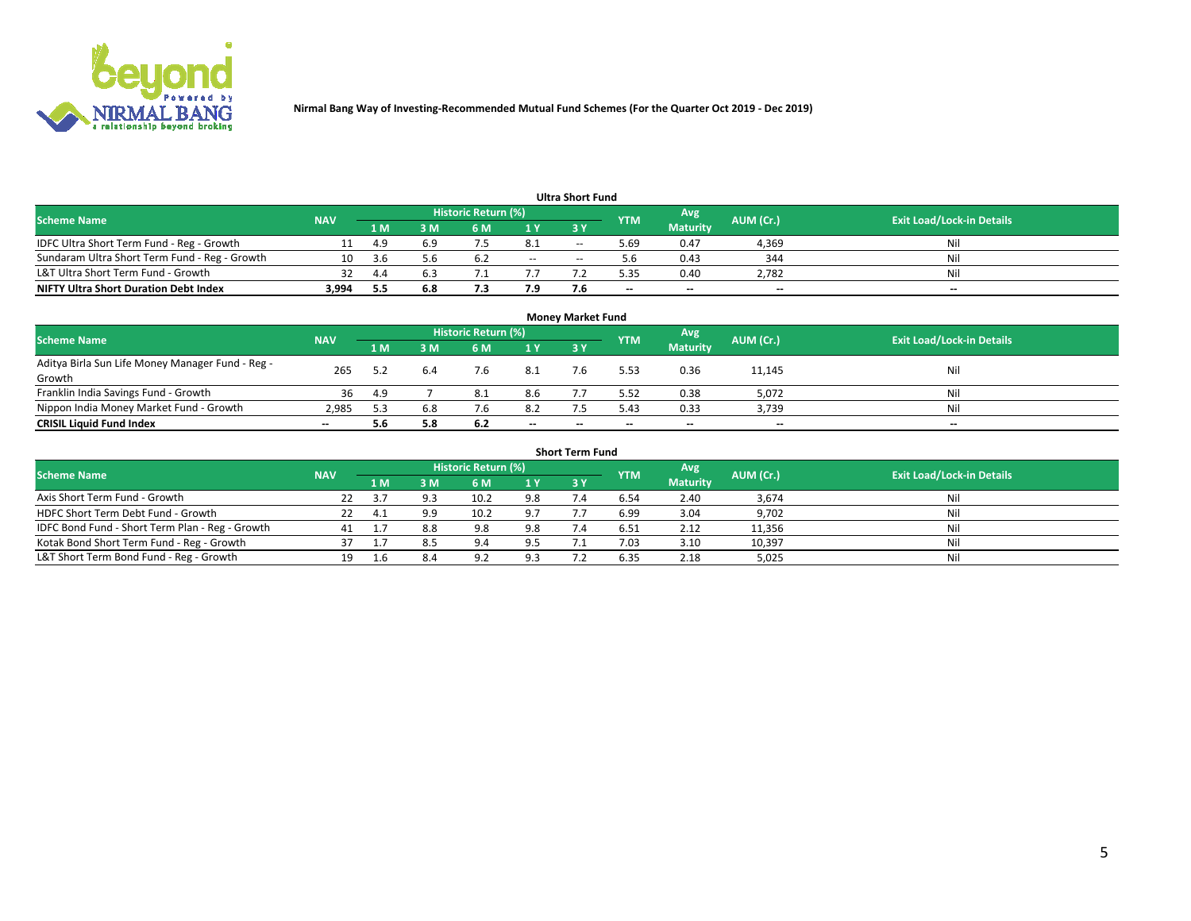

**Nirmal Bang Way of Investing-Recommended Mutual Fund Schemes (For the Quarter Oct 2019 - Dec 2019)**

| <b>Ultra Short Fund</b>                       |            |       |     |                     |        |       |            |                 |           |                                  |  |  |  |  |
|-----------------------------------------------|------------|-------|-----|---------------------|--------|-------|------------|-----------------|-----------|----------------------------------|--|--|--|--|
| <b>Scheme Name</b>                            | <b>NAV</b> |       |     | Historic Return (%) |        |       | <b>YTM</b> | Avg             | AUM (Cr.) | <b>Exit Load/Lock-in Details</b> |  |  |  |  |
|                                               |            | 1 M'  | 3 M | 6 M                 | 1 Y    | 3 Y   |            | <b>Maturity</b> |           |                                  |  |  |  |  |
| IDFC Ultra Short Term Fund - Reg - Growth     |            | -4.9  | 6.9 |                     | 8.1    | $- -$ | .69 د      | 0.47            | 4,369     | Nil                              |  |  |  |  |
| Sundaram Ultra Short Term Fund - Reg - Growth |            | - 3 h | 5.b | 6.2                 | $\sim$ | $-$   |            | 0.43            | 344       | Nil                              |  |  |  |  |
| L&T Ultra Short Term Fund - Growth            |            | 4.4   |     |                     |        |       | 5.35       | 0.40            | 2,782     | Nil                              |  |  |  |  |
| <b>NIFTY Ultra Short Duration Debt Index</b>  | 3,994      | 5.5   | 6.8 |                     | 7.9    |       | --         | $-$             | $- -$     | $- -$                            |  |  |  |  |

| <b>Money Market Fund</b>                                   |            |     |     |                     |        |    |            |                 |           |                                  |  |  |  |  |
|------------------------------------------------------------|------------|-----|-----|---------------------|--------|----|------------|-----------------|-----------|----------------------------------|--|--|--|--|
| <b>Scheme Name</b>                                         | <b>NAV</b> |     |     | Historic Return (%) |        |    | <b>YTM</b> | 'Avg            | AUM (Cr.) | <b>Exit Load/Lock-in Details</b> |  |  |  |  |
|                                                            |            | 1 M | 3 M | 6 M                 | 1 Y    | 3Y |            | <b>Maturity</b> |           |                                  |  |  |  |  |
| Aditya Birla Sun Life Money Manager Fund - Reg -<br>Growth | 265        |     |     | 7.6                 | 8.1    |    | 5.53       | 0.36            | 11,145    | Nil                              |  |  |  |  |
| Franklin India Savings Fund - Growth                       | 36         | 4.9 |     | 8.1                 | 8.6    |    | 5.52       | 0.38            | 5,072     | Nil                              |  |  |  |  |
| Nippon India Money Market Fund - Growth                    | 2.985      |     | 6.8 | 7.6                 | 8.2    |    | 5.43       | 0.33            | 3,739     | Nil                              |  |  |  |  |
| <b>CRISIL Liquid Fund Index</b>                            | $- -$      | 5.6 | 5.8 | 6.2                 | $\sim$ | -- | --         | $\sim$          | $\sim$    | $\sim$                           |  |  |  |  |

| <b>Short Term Fund</b>                          |            |      |     |                     |     |            |            |                 |           |                                  |  |  |  |  |
|-------------------------------------------------|------------|------|-----|---------------------|-----|------------|------------|-----------------|-----------|----------------------------------|--|--|--|--|
| <b>Scheme Name</b>                              | <b>NAV</b> |      |     | Historic Return (%) |     |            | <b>YTM</b> | Avg             | AUM (Cr.) | <b>Exit Load/Lock-in Details</b> |  |  |  |  |
|                                                 |            | 1 M  | 3 M | 6 M                 | 1 Y | <b>3 Y</b> |            | <b>Maturity</b> |           |                                  |  |  |  |  |
| Axis Short Term Fund - Growth                   |            |      |     | 10.2                | 9.8 |            | 6.54       | 2.40            | 3,674     | Nil                              |  |  |  |  |
| HDFC Short Term Debt Fund - Growth              | 22         | -4.1 | 9.9 | 10.2                | 9.7 |            | 6.99       | 3.04            | 9,702     | Nil                              |  |  |  |  |
| IDFC Bond Fund - Short Term Plan - Reg - Growth | 41         |      | 8.8 | 9.8                 | 9.8 |            | 6.51       | 2.12            | 11,356    | Nil                              |  |  |  |  |
| Kotak Bond Short Term Fund - Reg - Growth       |            |      |     | 9.4                 | 9.5 |            | 7.03       | 3.10            | 10,397    | Nil                              |  |  |  |  |
| L&T Short Term Bond Fund - Reg - Growth         | 19.        |      | 8.4 | ΩC                  | 9.3 |            | 6.35       | 2.18            | 5,025     | Nil                              |  |  |  |  |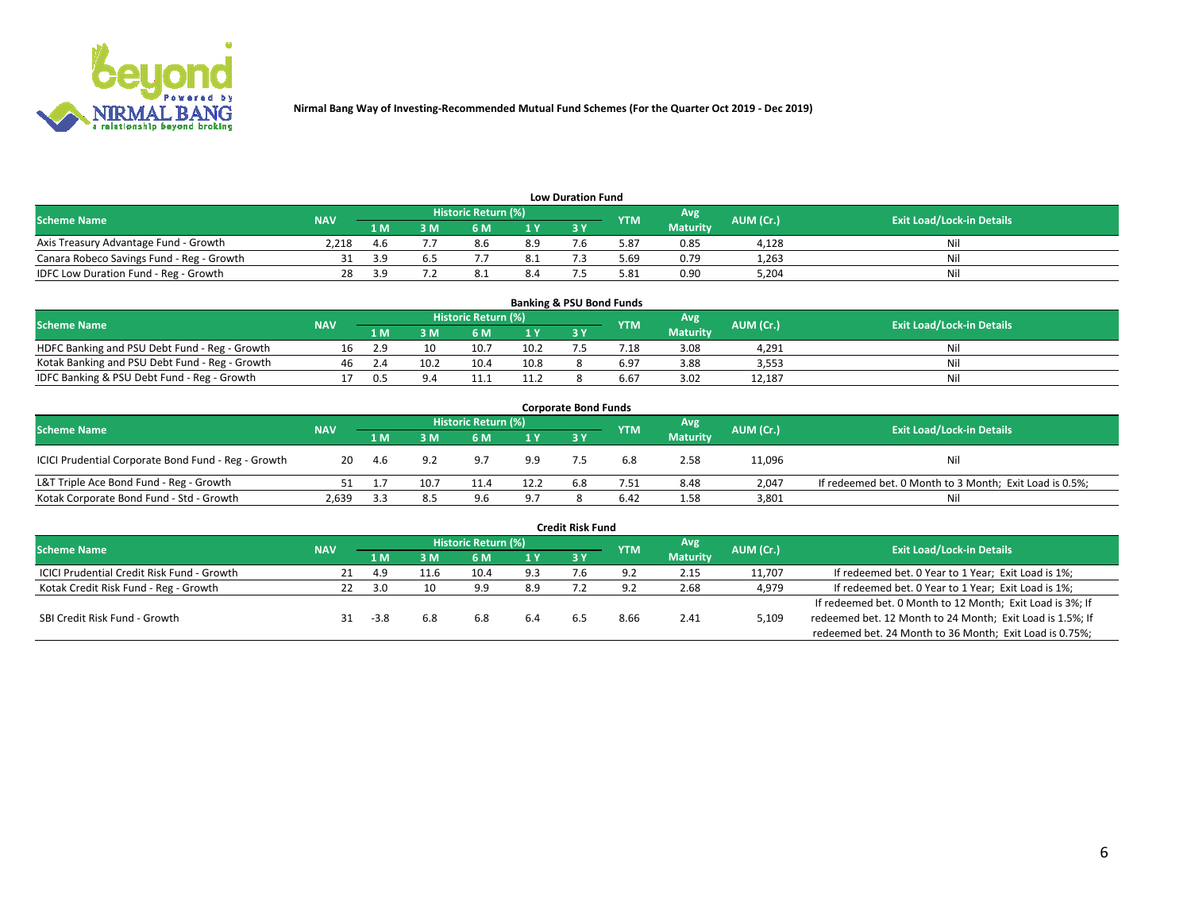

| <b>Low Duration Fund</b>                  |            |     |     |                     |                |           |            |                 |           |                                  |  |  |  |  |
|-------------------------------------------|------------|-----|-----|---------------------|----------------|-----------|------------|-----------------|-----------|----------------------------------|--|--|--|--|
| <b>Scheme Name</b>                        | <b>NAV</b> |     |     | Historic Return (%) |                |           | <b>YTM</b> | Avg             | AUM (Cr.) | <b>Exit Load/Lock-in Details</b> |  |  |  |  |
|                                           |            | 1 M | ያ M | 6 M                 | 1 <sub>V</sub> | <b>3V</b> |            | <b>Maturity</b> |           |                                  |  |  |  |  |
| Axis Treasury Advantage Fund - Growth     | 2.218      | 4.6 |     | 8.6                 | 8.9            |           | 5.87       | 0.85            | 4.128     | Nil                              |  |  |  |  |
| Canara Robeco Savings Fund - Reg - Growth |            |     |     |                     | 8.1            |           | 69.ز       | 0.79            | 1,263     | Nil                              |  |  |  |  |
| IDFC Low Duration Fund - Reg - Growth     | 28         |     |     | $\circ$             | 8.4            |           | 5.81       | 0.90            | 5,204     | Nil                              |  |  |  |  |

| <b>Banking &amp; PSU Bond Funds</b>            |            |            |      |                            |      |           |                 |                 |           |                                  |  |  |  |  |
|------------------------------------------------|------------|------------|------|----------------------------|------|-----------|-----------------|-----------------|-----------|----------------------------------|--|--|--|--|
| <b>Scheme Name</b>                             | <b>NAV</b> |            |      | <b>Historic Return (%)</b> |      |           | <b>YTM</b>      | Avg             | AUM (Cr.) | <b>Exit Load/Lock-in Details</b> |  |  |  |  |
|                                                |            | 1 M        | sм   | 6 M                        | 71 Y | <b>3Y</b> |                 | <b>Maturity</b> |           |                                  |  |  |  |  |
| HDFC Banking and PSU Debt Fund - Reg - Growth  |            | Ιq         |      | 10.7                       | 10.2 |           | $^{\prime}$ .18 | 3.08            | 4.291     | Ni                               |  |  |  |  |
| Kotak Banking and PSU Debt Fund - Reg - Growth | 46         |            | 10.2 | 10.4                       | 10.8 |           | 6.97            | 3.88            | 3,553     | Ni                               |  |  |  |  |
| IDFC Banking & PSU Debt Fund - Reg - Growth    |            | <u>ሰ</u> 5 |      |                            | 11.2 |           | 6.67            | 3.02            | 12.187    | Ni                               |  |  |  |  |

| <b>Corporate Bond Funds</b>                                                                                                   |       |      |      |      |      |            |      |                 |        |                                                         |  |  |  |  |
|-------------------------------------------------------------------------------------------------------------------------------|-------|------|------|------|------|------------|------|-----------------|--------|---------------------------------------------------------|--|--|--|--|
| Historic Return (%)<br>Avg<br>AUM (Cr.)<br><b>Exit Load/Lock-in Details</b><br><b>Scheme Name</b><br><b>NAV</b><br><b>YTM</b> |       |      |      |      |      |            |      |                 |        |                                                         |  |  |  |  |
|                                                                                                                               |       | 1 M  | 8 M  | 6 M  | 1 Y  | <b>3 Y</b> |      | <b>Maturity</b> |        |                                                         |  |  |  |  |
| ICICI Prudential Corporate Bond Fund - Reg - Growth                                                                           | 20    | -4.6 | 9.2  | 9.7  | 9.9  |            | 6.8  | 2.58            | 11,096 | Nil                                                     |  |  |  |  |
| L&T Triple Ace Bond Fund - Reg - Growth                                                                                       |       |      | 10.7 | 11.4 | 12.2 | 6.8        | 7.51 | 8.48            | 2,047  | If redeemed bet. 0 Month to 3 Month; Exit Load is 0.5%; |  |  |  |  |
| Kotak Corporate Bond Fund - Std - Growth                                                                                      | 2,639 |      | 8.5  | 9.6  | 9.7  |            | 6.42 | 1.58            | 3,801  | Nil                                                     |  |  |  |  |

| <b>Credit Risk Fund</b>                           |            |        |      |                            |     |     |            |                 |           |                                                           |  |  |  |
|---------------------------------------------------|------------|--------|------|----------------------------|-----|-----|------------|-----------------|-----------|-----------------------------------------------------------|--|--|--|
| <b>Scheme Name</b>                                | <b>NAV</b> |        |      | <b>Historic Return (%)</b> |     |     | <b>YTM</b> | 'Avg            | AUM (Cr.) | <b>Exit Load/Lock-in Details</b>                          |  |  |  |
|                                                   |            | 1 M    | 3 M  | 6 M                        | 1 Y | 3Y  |            | <b>Maturity</b> |           |                                                           |  |  |  |
| <b>ICICI Prudential Credit Risk Fund - Growth</b> |            | 4.9    | 11.6 | 10.4                       | 9.3 | 7.b | 9.2        | 2.15            | 11,707    | If redeemed bet. 0 Year to 1 Year; Exit Load is 1%;       |  |  |  |
| Kotak Credit Risk Fund - Reg - Growth             |            | _ 3 U  | 10   | 9.9                        | 8.9 |     |            | 2.68            | 4,979     | If redeemed bet. 0 Year to 1 Year; Exit Load is 1%;       |  |  |  |
|                                                   |            |        |      |                            |     |     |            |                 |           | If redeemed bet. 0 Month to 12 Month; Exit Load is 3%; If |  |  |  |
| SBI Credit Risk Fund - Growth                     |            | $-3.8$ | 6.8  | 6.8                        | 6.4 |     | 8.66       | 2.41            | 5,109     | redeemed bet. 12 Month to 24 Month; Exit Load is 1.5%; If |  |  |  |
|                                                   |            |        |      |                            |     |     |            |                 |           | redeemed bet. 24 Month to 36 Month; Exit Load is 0.75%;   |  |  |  |